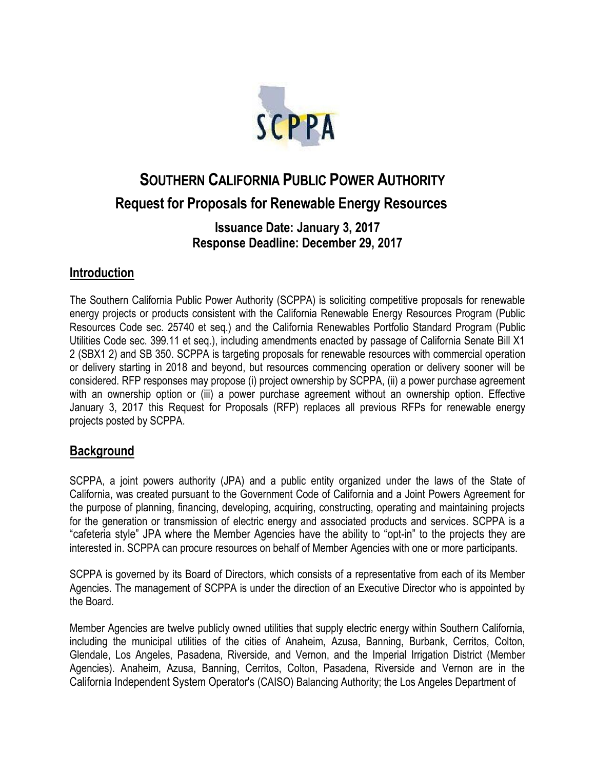

# **SOUTHERN CALIFORNIA PUBLIC POWER AUTHORITY Request for Proposals for Renewable Energy Resources**

### **Issuance Date: January 3, 2017 Response Deadline: December 29, 2017**

#### **Introduction**

The Southern California Public Power Authority (SCPPA) is soliciting competitive proposals for renewable energy projects or products consistent with the California Renewable Energy Resources Program (Public Resources Code sec. 25740 et seq.) and the California Renewables Portfolio Standard Program (Public Utilities Code sec. 399.11 et seq.), including amendments enacted by passage of California Senate Bill X1 2 (SBX1 2) and SB 350. SCPPA is targeting proposals for renewable resources with commercial operation or delivery starting in 2018 and beyond, but resources commencing operation or delivery sooner will be considered. RFP responses may propose (i) project ownership by SCPPA, (ii) a power purchase agreement with an ownership option or (iii) a power purchase agreement without an ownership option. Effective January 3, 2017 this Request for Proposals (RFP) replaces all previous RFPs for renewable energy projects posted by SCPPA.

#### **Background**

SCPPA, a joint powers authority (JPA) and a public entity organized under the laws of the State of California, was created pursuant to the Government Code of California and a Joint Powers Agreement for the purpose of planning, financing, developing, acquiring, constructing, operating and maintaining projects for the generation or transmission of electric energy and associated products and services. SCPPA is a "cafeteria style" JPA where the Member Agencies have the ability to "opt-in" to the projects they are interested in. SCPPA can procure resources on behalf of Member Agencies with one or more participants.

SCPPA is governed by its Board of Directors, which consists of a representative from each of its Member Agencies. The management of SCPPA is under the direction of an Executive Director who is appointed by the Board.

Member Agencies are twelve publicly owned utilities that supply electric energy within Southern California, including the municipal utilities of the cities of Anaheim, Azusa, Banning, Burbank, Cerritos, Colton, Glendale, Los Angeles, Pasadena, Riverside, and Vernon, and the Imperial Irrigation District (Member Agencies). Anaheim, Azusa, Banning, Cerritos, Colton, Pasadena, Riverside and Vernon are in the California Independent System Operator's (CAISO) Balancing Authority; the Los Angeles Department of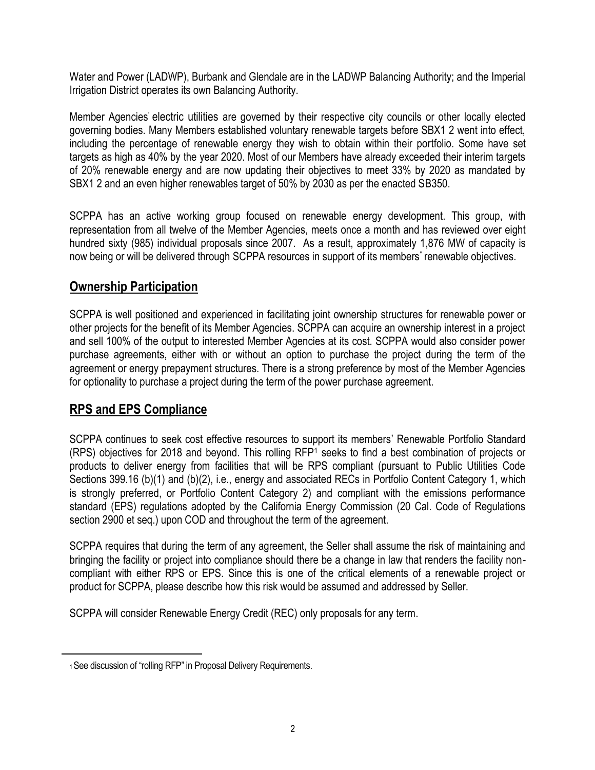Water and Power (LADWP), Burbank and Glendale are in the LADWP Balancing Authority; and the Imperial Irrigation District operates its own Balancing Authority.

Member Agencies' electric utilities are governed by their respective city councils or other locally elected governing bodies. Many Members established voluntary renewable targets before SBX1 2 went into effect, including the percentage of renewable energy they wish to obtain within their portfolio. Some have set targets as high as 40% by the year 2020. Most of our Members have already exceeded their interim targets of 20% renewable energy and are now updating their objectives to meet 33% by 2020 as mandated by SBX1 2 and an even higher renewables target of 50% by 2030 as per the enacted SB350.

SCPPA has an active working group focused on renewable energy development. This group, with representation from all twelve of the Member Agencies, meets once a month and has reviewed over eight hundred sixty (985) individual proposals since 2007. As a result, approximately 1,876 MW of capacity is now being or will be delivered through SCPPA resources in support of its members" renewable objectives.

## **Ownership Participation**

SCPPA is well positioned and experienced in facilitating joint ownership structures for renewable power or other projects for the benefit of its Member Agencies. SCPPA can acquire an ownership interest in a project and sell 100% of the output to interested Member Agencies at its cost. SCPPA would also consider power purchase agreements, either with or without an option to purchase the project during the term of the agreement or energy prepayment structures. There is a strong preference by most of the Member Agencies for optionality to purchase a project during the term of the power purchase agreement.

## **RPS and EPS Compliance**

SCPPA continues to seek cost effective resources to support its members' Renewable Portfolio Standard (RPS) objectives for 2018 and beyond. This rolling RFP<sup>1</sup> seeks to find a best combination of projects or products to deliver energy from facilities that will be RPS compliant (pursuant to Public Utilities Code Sections 399.16 (b)(1) and (b)(2), i.e., energy and associated RECs in Portfolio Content Category 1, which is strongly preferred, or Portfolio Content Category 2) and compliant with the emissions performance standard (EPS) regulations adopted by the California Energy Commission (20 Cal. Code of Regulations section 2900 et seq.) upon COD and throughout the term of the agreement.

SCPPA requires that during the term of any agreement, the Seller shall assume the risk of maintaining and bringing the facility or project into compliance should there be a change in law that renders the facility noncompliant with either RPS or EPS. Since this is one of the critical elements of a renewable project or product for SCPPA, please describe how this risk would be assumed and addressed by Seller.

SCPPA will consider Renewable Energy Credit (REC) only proposals for any term.

<sup>1</sup> See discussion of "rolling RFP" in Proposal Delivery Requirements.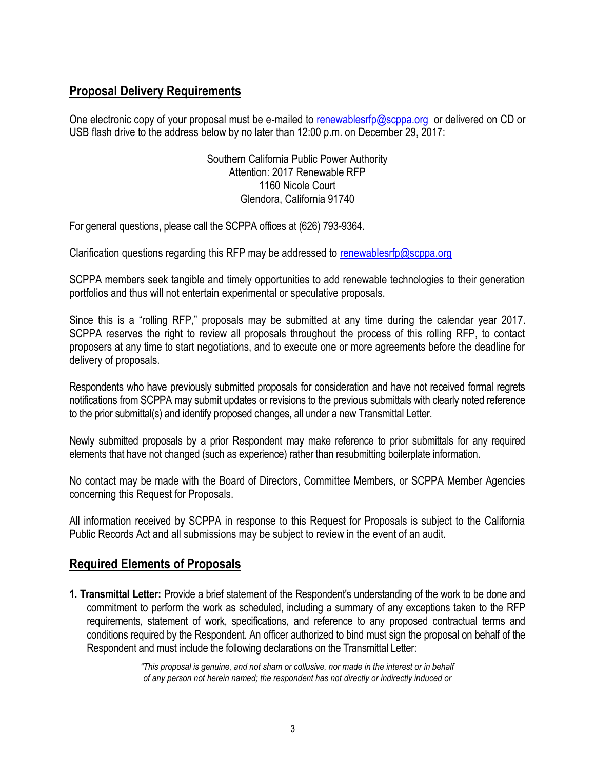# **Proposal Delivery Requirements**

One electronic copy of your proposal must be e-mailed [to](mailto:to_knguyen@scppa.org) [renewablesrfp@scppa.org](mailto:renewablesrfp@scppa.org) or delivered on CD or USB flash drive to the address below by no later than 12:00 p.m. on December 29, 2017:

> Southern California Public Power Authority Attention: 2017 Renewable RFP 1160 Nicole Court Glendora, California 91740

For general questions, please call the SCPPA offices at (626) 793-9364.

Clarification questions regarding this RFP may be addressed to [renewablesrfp@scppa.org](mailto:renewablesrfp@scppa.org)

SCPPA members seek tangible and timely opportunities to add renewable technologies to their generation portfolios and thus will not entertain experimental or speculative proposals.

Since this is a "rolling RFP," proposals may be submitted at any time during the calendar year 2017. SCPPA reserves the right to review all proposals throughout the process of this rolling RFP, to contact proposers at any time to start negotiations, and to execute one or more agreements before the deadline for delivery of proposals.

Respondents who have previously submitted proposals for consideration and have not received formal regrets notifications from SCPPA may submit updates or revisions to the previous submittals with clearly noted reference to the prior submittal(s) and identify proposed changes, all under a new Transmittal Letter.

Newly submitted proposals by a prior Respondent may make reference to prior submittals for any required elements that have not changed (such as experience) rather than resubmitting boilerplate information.

No contact may be made with the Board of Directors, Committee Members, or SCPPA Member Agencies concerning this Request for Proposals.

All information received by SCPPA in response to this Request for Proposals is subject to the California Public Records Act and all submissions may be subject to review in the event of an audit.

#### **Required Elements of Proposals**

**1. Transmittal Letter:** Provide a brief statement of the Respondent's understanding of the work to be done and commitment to perform the work as scheduled, including a summary of any exceptions taken to the RFP requirements, statement of work, specifications, and reference to any proposed contractual terms and conditions required by the Respondent. An officer authorized to bind must sign the proposal on behalf of the Respondent and must include the following declarations on the Transmittal Letter:

> *"This proposal is genuine, and not sham or collusive, nor made in the interest or in behalf of any person not herein named; the respondent has not directly or indirectly induced or*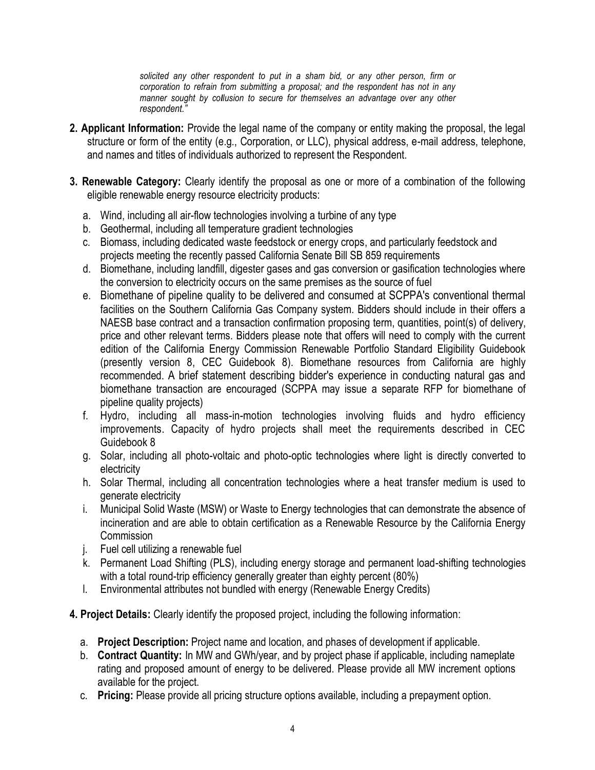*solicited any other respondent to put in a sham bid, or any other person, firm or corporation to refrain from submitting a proposal; and the respondent has not in any manner sought by collusion to secure for themselves an advantage over any other respondent."*

- **2. Applicant Information:** Provide the legal name of the company or entity making the proposal, the legal structure or form of the entity (e.g., Corporation, or LLC), physical address, e-mail address, telephone, and names and titles of individuals authorized to represent the Respondent.
- **3. Renewable Category:** Clearly identify the proposal as one or more of a combination of the following eligible renewable energy resource electricity products:
	- a. Wind, including all air-flow technologies involving a turbine of any type
	- b. Geothermal, including all temperature gradient technologies
	- c. Biomass, including dedicated waste feedstock or energy crops, and particularly feedstock and projects meeting the recently passed California Senate Bill SB 859 requirements
	- d. Biomethane, including landfill, digester gases and gas conversion or gasification technologies where the conversion to electricity occurs on the same premises as the source of fuel
	- e. Biomethane of pipeline quality to be delivered and consumed at SCPPA's conventional thermal facilities on the Southern California Gas Company system. Bidders should include in their offers a NAESB base contract and a transaction confirmation proposing term, quantities, point(s) of delivery, price and other relevant terms. Bidders please note that offers will need to comply with the current edition of the California Energy Commission Renewable Portfolio Standard Eligibility Guidebook (presently version 8, CEC Guidebook 8). Biomethane resources from California are highly recommended. A brief statement describing bidder's experience in conducting natural gas and biomethane transaction are encouraged (SCPPA may issue a separate RFP for biomethane of pipeline quality projects)
	- f. Hydro, including all mass-in-motion technologies involving fluids and hydro efficiency improvements. Capacity of hydro projects shall meet the requirements described in CEC Guidebook 8
	- g. Solar, including all photo-voltaic and photo-optic technologies where light is directly converted to electricity
	- h. Solar Thermal, including all concentration technologies where a heat transfer medium is used to generate electricity
	- i. Municipal Solid Waste (MSW) or Waste to Energy technologies that can demonstrate the absence of incineration and are able to obtain certification as a Renewable Resource by the California Energy Commission
	- j. Fuel cell utilizing a renewable fuel
	- k. Permanent Load Shifting (PLS), including energy storage and permanent load-shifting technologies with a total round-trip efficiency generally greater than eighty percent (80%)
	- l. Environmental attributes not bundled with energy (Renewable Energy Credits)
- **4. Project Details:** Clearly identify the proposed project, including the following information:
	- a. **Project Description:** Project name and location, and phases of development if applicable.
	- b. **Contract Quantity:** In MW and GWh/year, and by project phase if applicable, including nameplate rating and proposed amount of energy to be delivered. Please provide all MW increment options available for the project.
	- c. **Pricing:** Please provide all pricing structure options available, including a prepayment option.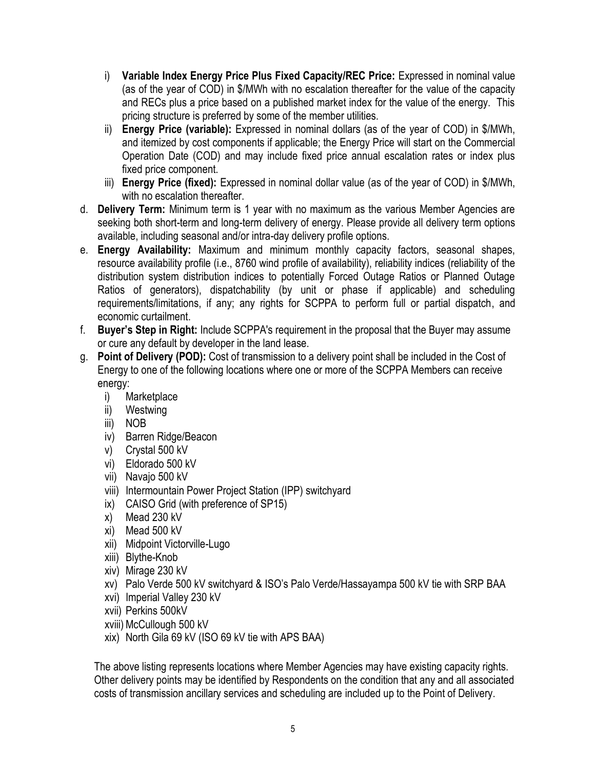- i) **Variable Index Energy Price Plus Fixed Capacity/REC Price:** Expressed in nominal value (as of the year of COD) in \$/MWh with no escalation thereafter for the value of the capacity and RECs plus a price based on a published market index for the value of the energy. This pricing structure is preferred by some of the member utilities.
- ii) **Energy Price (variable):** Expressed in nominal dollars (as of the year of COD) in \$/MWh, and itemized by cost components if applicable; the Energy Price will start on the Commercial Operation Date (COD) and may include fixed price annual escalation rates or index plus fixed price component.
- iii) **Energy Price (fixed):** Expressed in nominal dollar value (as of the year of COD) in \$/MWh, with no escalation thereafter.
- d. **Delivery Term:** Minimum term is 1 year with no maximum as the various Member Agencies are seeking both short-term and long-term delivery of energy. Please provide all delivery term options available, including seasonal and/or intra-day delivery profile options.
- e. **Energy Availability:** Maximum and minimum monthly capacity factors, seasonal shapes, resource availability profile (i.e., 8760 wind profile of availability), reliability indices (reliability of the distribution system distribution indices to potentially Forced Outage Ratios or Planned Outage Ratios of generators), dispatchability (by unit or phase if applicable) and scheduling requirements/limitations, if any; any rights for SCPPA to perform full or partial dispatch, and economic curtailment.
- f. **Buyer's Step in Right:** Include SCPPA's requirement in the proposal that the Buyer may assume or cure any default by developer in the land lease.
- g. **Point of Delivery (POD):** Cost of transmission to a delivery point shall be included in the Cost of Energy to one of the following locations where one or more of the SCPPA Members can receive energy:
	- i) Marketplace
	- ii) Westwing
	- iii) NOB
	- iv) Barren Ridge/Beacon
	- v) Crystal 500 kV
	- vi) Eldorado 500 kV
	- vii) Navajo 500 kV
	- viii) Intermountain Power Project Station (IPP) switchyard
	- ix) CAISO Grid (with preference of SP15)
	- x) Mead 230 kV
	- xi) Mead 500 kV
	- xii) Midpoint Victorville-Lugo
	- xiii) Blythe-Knob
	- xiv) Mirage 230 kV
	- xv) Palo Verde 500 kV switchyard & ISO's Palo Verde/Hassayampa 500 kV tie with SRP BAA
	- xvi) Imperial Valley 230 kV
	- xvii) Perkins 500kV
	- xviii)McCullough 500 kV
	- xix) North Gila 69 kV (ISO 69 kV tie with APS BAA)

The above listing represents locations where Member Agencies may have existing capacity rights. Other delivery points may be identified by Respondents on the condition that any and all associated costs of transmission ancillary services and scheduling are included up to the Point of Delivery.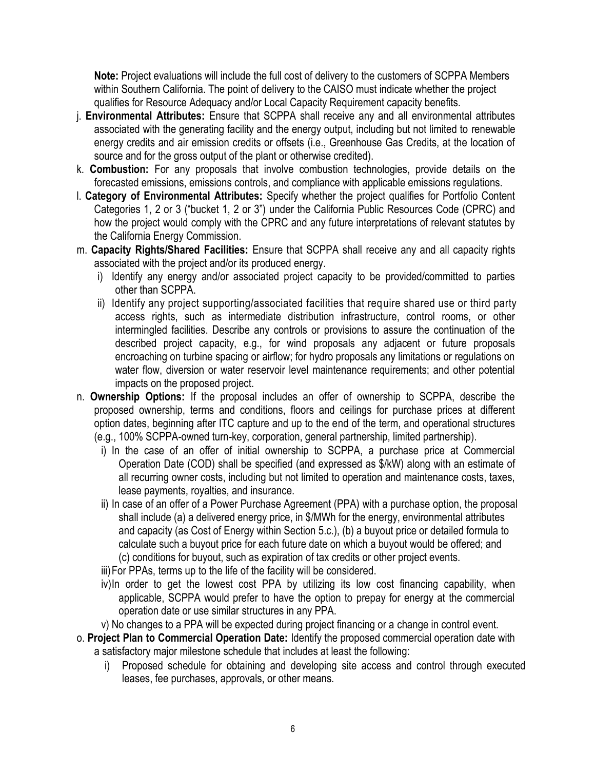**Note:** Project evaluations will include the full cost of delivery to the customers of SCPPA Members within Southern California. The point of delivery to the CAISO must indicate whether the project qualifies for Resource Adequacy and/or Local Capacity Requirement capacity benefits.

- j. **Environmental Attributes:** Ensure that SCPPA shall receive any and all environmental attributes associated with the generating facility and the energy output, including but not limited to renewable energy credits and air emission credits or offsets (i.e., Greenhouse Gas Credits, at the location of source and for the gross output of the plant or otherwise credited).
- k. **Combustion:** For any proposals that involve combustion technologies, provide details on the forecasted emissions, emissions controls, and compliance with applicable emissions regulations.
- l. **Category of Environmental Attributes:** Specify whether the project qualifies for Portfolio Content Categories 1, 2 or 3 ("bucket 1, 2 or 3") under the California Public Resources Code (CPRC) and how the project would comply with the CPRC and any future interpretations of relevant statutes by the California Energy Commission.
- m. **Capacity Rights/Shared Facilities:** Ensure that SCPPA shall receive any and all capacity rights associated with the project and/or its produced energy.
	- i) Identify any energy and/or associated project capacity to be provided/committed to parties other than SCPPA.
	- ii) Identify any project supporting/associated facilities that require shared use or third party access rights, such as intermediate distribution infrastructure, control rooms, or other intermingled facilities. Describe any controls or provisions to assure the continuation of the described project capacity, e.g., for wind proposals any adjacent or future proposals encroaching on turbine spacing or airflow; for hydro proposals any limitations or regulations on water flow, diversion or water reservoir level maintenance requirements; and other potential impacts on the proposed project.
- n. **Ownership Options:** If the proposal includes an offer of ownership to SCPPA, describe the proposed ownership, terms and conditions, floors and ceilings for purchase prices at different option dates, beginning after ITC capture and up to the end of the term, and operational structures (e.g., 100% SCPPA-owned turn-key, corporation, general partnership, limited partnership).
	- i) In the case of an offer of initial ownership to SCPPA, a purchase price at Commercial Operation Date (COD) shall be specified (and expressed as \$/kW) along with an estimate of all recurring owner costs, including but not limited to operation and maintenance costs, taxes, lease payments, royalties, and insurance.
	- ii) In case of an offer of a Power Purchase Agreement (PPA) with a purchase option, the proposal shall include (a) a delivered energy price, in \$/MWh for the energy, environmental attributes and capacity (as Cost of Energy within Section 5.c.), (b) a buyout price or detailed formula to calculate such a buyout price for each future date on which a buyout would be offered; and (c) conditions for buyout, such as expiration of tax credits or other project events.
	- iii)For PPAs, terms up to the life of the facility will be considered.
	- iv)In order to get the lowest cost PPA by utilizing its low cost financing capability, when applicable, SCPPA would prefer to have the option to prepay for energy at the commercial operation date or use similar structures in any PPA.
	- v) No changes to a PPA will be expected during project financing or a change in control event.
- o. **Project Plan to Commercial Operation Date:** Identify the proposed commercial operation date with a satisfactory major milestone schedule that includes at least the following:
	- i) Proposed schedule for obtaining and developing site access and control through executed leases, fee purchases, approvals, or other means.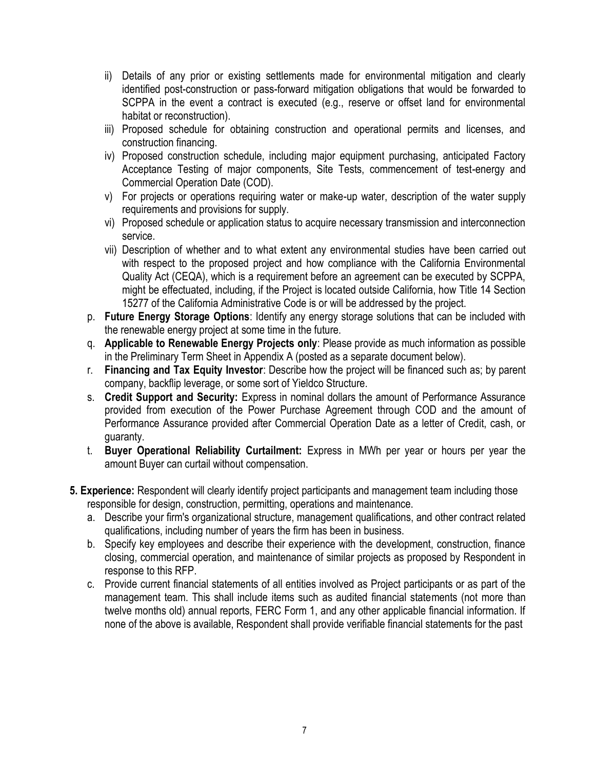- ii) Details of any prior or existing settlements made for environmental mitigation and clearly identified post-construction or pass-forward mitigation obligations that would be forwarded to SCPPA in the event a contract is executed (e.g., reserve or offset land for environmental habitat or reconstruction).
- iii) Proposed schedule for obtaining construction and operational permits and licenses, and construction financing.
- iv) Proposed construction schedule, including major equipment purchasing, anticipated Factory Acceptance Testing of major components, Site Tests, commencement of test-energy and Commercial Operation Date (COD).
- v) For projects or operations requiring water or make-up water, description of the water supply requirements and provisions for supply.
- vi) Proposed schedule or application status to acquire necessary transmission and interconnection service.
- vii) Description of whether and to what extent any environmental studies have been carried out with respect to the proposed project and how compliance with the California Environmental Quality Act (CEQA), which is a requirement before an agreement can be executed by SCPPA, might be effectuated, including, if the Project is located outside California, how Title 14 Section 15277 of the California Administrative Code is or will be addressed by the project.
- p. **Future Energy Storage Options**: Identify any energy storage solutions that can be included with the renewable energy project at some time in the future.
- q. **Applicable to Renewable Energy Projects only**: Please provide as much information as possible in the Preliminary Term Sheet in Appendix A (posted as a separate document below).
- r. **Financing and Tax Equity Investor**: Describe how the project will be financed such as; by parent company, backflip leverage, or some sort of Yieldco Structure.
- s. **Credit Support and Security:** Express in nominal dollars the amount of Performance Assurance provided from execution of the Power Purchase Agreement through COD and the amount of Performance Assurance provided after Commercial Operation Date as a letter of Credit, cash, or guaranty.
- t. **Buyer Operational Reliability Curtailment:** Express in MWh per year or hours per year the amount Buyer can curtail without compensation.
- **5. Experience:** Respondent will clearly identify project participants and management team including those responsible for design, construction, permitting, operations and maintenance.
	- a. Describe your firm's organizational structure, management qualifications, and other contract related qualifications, including number of years the firm has been in business.
	- b. Specify key employees and describe their experience with the development, construction, finance closing, commercial operation, and maintenance of similar projects as proposed by Respondent in response to this RFP.
	- c. Provide current financial statements of all entities involved as Project participants or as part of the management team. This shall include items such as audited financial statements (not more than twelve months old) annual reports, FERC Form 1, and any other applicable financial information. If none of the above is available, Respondent shall provide verifiable financial statements for the past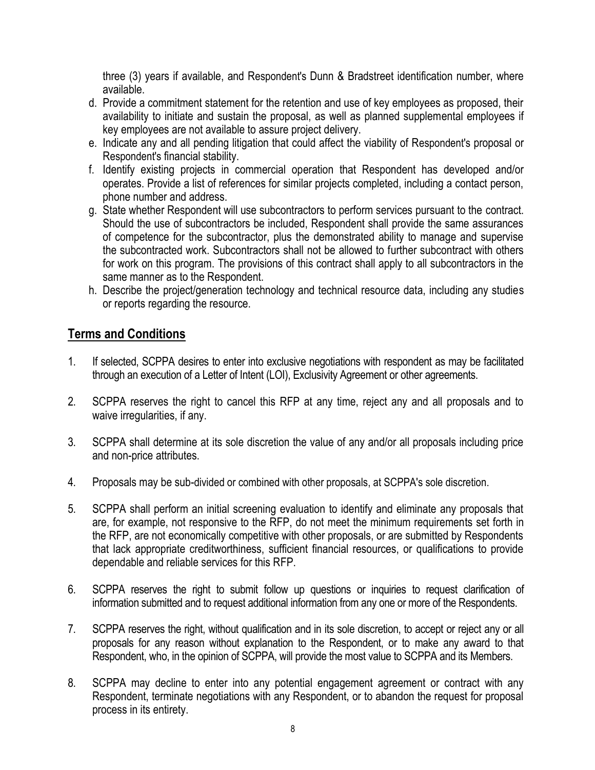three (3) years if available, and Respondent's Dunn & Bradstreet identification number, where available.

- d. Provide a commitment statement for the retention and use of key employees as proposed, their availability to initiate and sustain the proposal, as well as planned supplemental employees if key employees are not available to assure project delivery.
- e. Indicate any and all pending litigation that could affect the viability of Respondent's proposal or Respondent's financial stability.
- f. Identify existing projects in commercial operation that Respondent has developed and/or operates. Provide a list of references for similar projects completed, including a contact person, phone number and address.
- g. State whether Respondent will use subcontractors to perform services pursuant to the contract. Should the use of subcontractors be included, Respondent shall provide the same assurances of competence for the subcontractor, plus the demonstrated ability to manage and supervise the subcontracted work. Subcontractors shall not be allowed to further subcontract with others for work on this program. The provisions of this contract shall apply to all subcontractors in the same manner as to the Respondent.
- h. Describe the project/generation technology and technical resource data, including any studies or reports regarding the resource.

## **Terms and Conditions**

- 1. If selected, SCPPA desires to enter into exclusive negotiations with respondent as may be facilitated through an execution of a Letter of Intent (LOI), Exclusivity Agreement or other agreements.
- 2. SCPPA reserves the right to cancel this RFP at any time, reject any and all proposals and to waive irregularities, if any.
- 3. SCPPA shall determine at its sole discretion the value of any and/or all proposals including price and non-price attributes.
- 4. Proposals may be sub-divided or combined with other proposals, at SCPPA's sole discretion.
- 5. SCPPA shall perform an initial screening evaluation to identify and eliminate any proposals that are, for example, not responsive to the RFP, do not meet the minimum requirements set forth in the RFP, are not economically competitive with other proposals, or are submitted by Respondents that lack appropriate creditworthiness, sufficient financial resources, or qualifications to provide dependable and reliable services for this RFP.
- 6. SCPPA reserves the right to submit follow up questions or inquiries to request clarification of information submitted and to request additional information from any one or more of the Respondents.
- 7. SCPPA reserves the right, without qualification and in its sole discretion, to accept or reject any or all proposals for any reason without explanation to the Respondent, or to make any award to that Respondent, who, in the opinion of SCPPA, will provide the most value to SCPPA and its Members.
- 8. SCPPA may decline to enter into any potential engagement agreement or contract with any Respondent, terminate negotiations with any Respondent, or to abandon the request for proposal process in its entirety.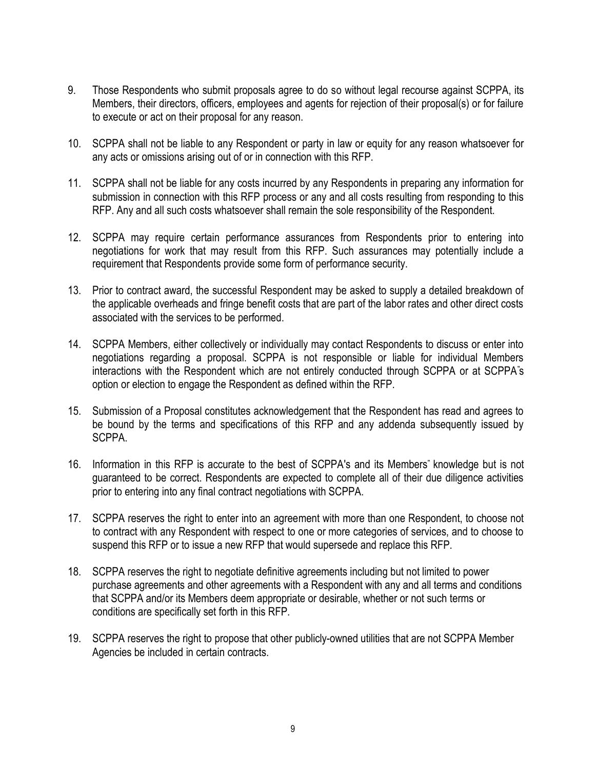- 9. Those Respondents who submit proposals agree to do so without legal recourse against SCPPA, its Members, their directors, officers, employees and agents for rejection of their proposal(s) or for failure to execute or act on their proposal for any reason.
- 10. SCPPA shall not be liable to any Respondent or party in law or equity for any reason whatsoever for any acts or omissions arising out of or in connection with this RFP.
- 11. SCPPA shall not be liable for any costs incurred by any Respondents in preparing any information for submission in connection with this RFP process or any and all costs resulting from responding to this RFP. Any and all such costs whatsoever shall remain the sole responsibility of the Respondent.
- 12. SCPPA may require certain performance assurances from Respondents prior to entering into negotiations for work that may result from this RFP. Such assurances may potentially include a requirement that Respondents provide some form of performance security.
- 13. Prior to contract award, the successful Respondent may be asked to supply a detailed breakdown of the applicable overheads and fringe benefit costs that are part of the labor rates and other direct costs associated with the services to be performed.
- 14. SCPPA Members, either collectively or individually may contact Respondents to discuss or enter into negotiations regarding a proposal. SCPPA is not responsible or liable for individual Members interactions with the Respondent which are not entirely conducted through SCPPA or at SCPPA"s option or election to engage the Respondent as defined within the RFP.
- 15. Submission of a Proposal constitutes acknowledgement that the Respondent has read and agrees to be bound by the terms and specifications of this RFP and any addenda subsequently issued by SCPPA.
- 16. Information in this RFP is accurate to the best of SCPPA's and its Members" knowledge but is not guaranteed to be correct. Respondents are expected to complete all of their due diligence activities prior to entering into any final contract negotiations with SCPPA.
- 17. SCPPA reserves the right to enter into an agreement with more than one Respondent, to choose not to contract with any Respondent with respect to one or more categories of services, and to choose to suspend this RFP or to issue a new RFP that would supersede and replace this RFP.
- 18. SCPPA reserves the right to negotiate definitive agreements including but not limited to power purchase agreements and other agreements with a Respondent with any and all terms and conditions that SCPPA and/or its Members deem appropriate or desirable, whether or not such terms or conditions are specifically set forth in this RFP.
- 19. SCPPA reserves the right to propose that other publicly-owned utilities that are not SCPPA Member Agencies be included in certain contracts.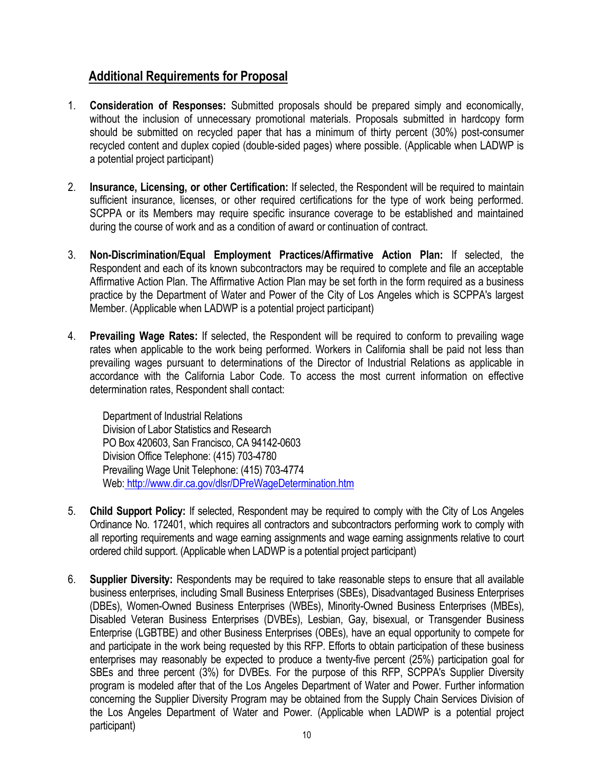# **Additional Requirements for Proposal**

- 1. **Consideration of Responses:** Submitted proposals should be prepared simply and economically, without the inclusion of unnecessary promotional materials. Proposals submitted in hardcopy form should be submitted on recycled paper that has a minimum of thirty percent (30%) post-consumer recycled content and duplex copied (double-sided pages) where possible. (Applicable when LADWP is a potential project participant)
- 2. **Insurance, Licensing, or other Certification:** If selected, the Respondent will be required to maintain sufficient insurance, licenses, or other required certifications for the type of work being performed. SCPPA or its Members may require specific insurance coverage to be established and maintained during the course of work and as a condition of award or continuation of contract.
- 3. **Non-Discrimination/Equal Employment Practices/Affirmative Action Plan:** If selected, the Respondent and each of its known subcontractors may be required to complete and file an acceptable Affirmative Action Plan. The Affirmative Action Plan may be set forth in the form required as a business practice by the Department of Water and Power of the City of Los Angeles which is SCPPA's largest Member. (Applicable when LADWP is a potential project participant)
- 4. **Prevailing Wage Rates:** If selected, the Respondent will be required to conform to prevailing wage rates when applicable to the work being performed. Workers in California shall be paid not less than prevailing wages pursuant to determinations of the Director of Industrial Relations as applicable in accordance with the California Labor Code. To access the most current information on effective determination rates, Respondent shall contact:

Department of Industrial Relations Division of Labor Statistics and Research PO Box 420603, San Francisco, CA 94142-0603 Division Office Telephone: (415) 703-4780 Prevailing Wage Unit Telephone: (415) 703-4774 Web: <http://www.dir.ca.gov/dlsr/DPreWageDetermination.htm>

- 5. **Child Support Policy:** If selected, Respondent may be required to comply with the City of Los Angeles Ordinance No. 172401, which requires all contractors and subcontractors performing work to comply with all reporting requirements and wage earning assignments and wage earning assignments relative to court ordered child support. (Applicable when LADWP is a potential project participant)
- 6. **Supplier Diversity:** Respondents may be required to take reasonable steps to ensure that all available business enterprises, including Small Business Enterprises (SBEs), Disadvantaged Business Enterprises (DBEs), Women-Owned Business Enterprises (WBEs), Minority-Owned Business Enterprises (MBEs), Disabled Veteran Business Enterprises (DVBEs), Lesbian, Gay, bisexual, or Transgender Business Enterprise (LGBTBE) and other Business Enterprises (OBEs), have an equal opportunity to compete for and participate in the work being requested by this RFP. Efforts to obtain participation of these business enterprises may reasonably be expected to produce a twenty-five percent (25%) participation goal for SBEs and three percent (3%) for DVBEs. For the purpose of this RFP, SCPPA's Supplier Diversity program is modeled after that of the Los Angeles Department of Water and Power. Further information concerning the Supplier Diversity Program may be obtained from the Supply Chain Services Division of the Los Angeles Department of Water and Power. (Applicable when LADWP is a potential project participant)